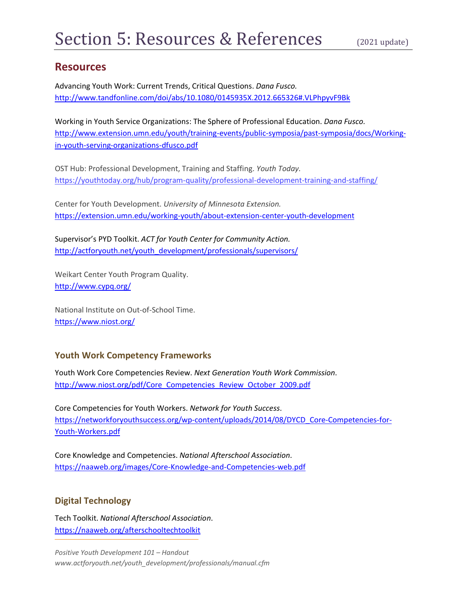## **Resources**

Advancing Youth Work: Current Trends, Critical Questions. *Dana Fusco.* http://www.tandfonline.com/doi/abs/10.1080/0145935X.2012.665326#.VLPhpyvF9Bk

Working in Youth Service Organizations: The Sphere of Professional Education. *Dana Fusco.* http://www.extension.umn.edu/youth/training-events/public-symposia/past-symposia/docs/Workingin-youth-serving-organizations-dfusco.pdf

OST Hub: Professional Development, Training and Staffing. *Youth Today.* https://youthtoday.org/hub/program-quality/professional-development-training-and-staffing/

Center for Youth Development. *University of Minnesota Extension.* https://extension.umn.edu/working-youth/about-extension-center-youth-development

Supervisor's PYD Toolkit. *ACT for Youth Center for Community Action.* http://actforyouth.net/youth\_development/professionals/supervisors/

Weikart Center Youth Program Quality. http://www.cypq.org/

National Institute on Out-of-School Time. https://www.niost.org/

### **Youth Work Competency Frameworks**

Youth Work Core Competencies Review. *Next Generation Youth Work Commission*. http://www.niost.org/pdf/Core\_Competencies\_Review\_October\_2009.pdf

Core Competencies for Youth Workers. *Network for Youth Success*. https://networkforyouthsuccess.org/wp-content/uploads/2014/08/DYCD\_Core-Competencies-for-Youth-Workers.pdf

Core Knowledge and Competencies. *National Afterschool Association*. https://naaweb.org/images/Core-Knowledge-and-Competencies-web.pdf

### **Digital Technology**

Tech Toolkit. *National Afterschool Association*. https://naaweb.org/afterschooltechtoolkit

*Positive Youth Development 101 – Handout www.actforyouth.net/youth\_development/professionals/manual.cfm*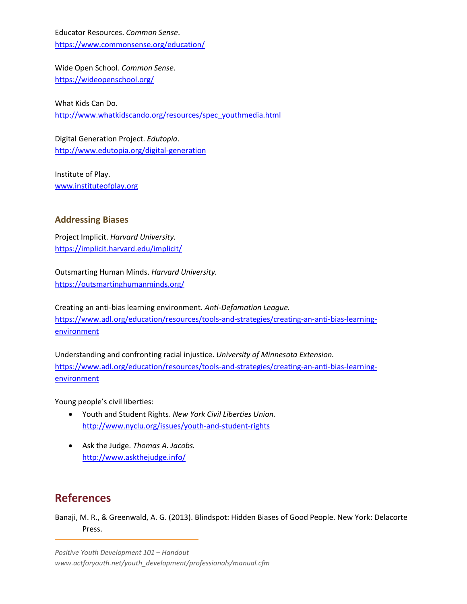Educator Resources. *Common Sense*. https://www.commonsense.org/education/

Wide Open School. *Common Sense*. https://wideopenschool.org/

What Kids Can Do. http://www.whatkidscando.org/resources/spec\_youthmedia.html

Digital Generation Project. *Edutopia*. http://www.edutopia.org/digital-generation

Institute of Play. www.instituteofplay.org

#### **Addressing Biases**

Project Implicit. *Harvard University.* https://implicit.harvard.edu/implicit/

Outsmarting Human Minds. *Harvard University.* https://outsmartinghumanminds.org/

Creating an anti-bias learning environment. *Anti-Defamation League.* https://www.adl.org/education/resources/tools-and-strategies/creating-an-anti-bias-learning**environment** 

Understanding and confronting racial injustice. *University of Minnesota Extension.* https://www.adl.org/education/resources/tools-and-strategies/creating-an-anti-bias-learningenvironment

Young people's civil liberties:

- Youth and Student Rights. *New York Civil Liberties Union.* http://www.nyclu.org/issues/youth-and-student-rights
- Ask the Judge. *Thomas A. Jacobs.* http://www.askthejudge.info/

# **References**

Banaji, M. R., & Greenwald, A. G. (2013). Blindspot: Hidden Biases of Good People. New York: Delacorte Press.

*Positive Youth Development 101 – Handout www.actforyouth.net/youth\_development/professionals/manual.cfm*